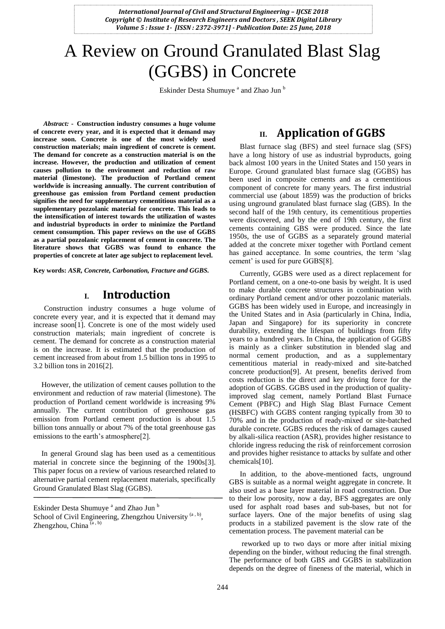# A Review on Ground Granulated Blast Slag (GGBS) in Concrete

Eskinder Desta Shumuye<sup>a</sup> and Zhao Jun<sup>b</sup>

*Abstract:* **- Construction industry consumes a huge volume of concrete every year, and it is expected that it demand may increase soon. Concrete is one of the most widely used construction materials; main ingredient of concrete is cement. The demand for concrete as a construction material is on the increase. However, the production and utilization of cement causes pollution to the environment and reduction of raw material (limestone). The production of Portland cement worldwide is increasing annually. The current contribution of greenhouse gas emission from Portland cement production signifies the need for supplementary cementitious material as a supplementary pozzolanic material for concrete. This leads to the intensification of interest towards the utilization of wastes and industrial byproducts in order to minimize the Portland cement consumption. This paper reviews on the use of GGBS as a partial pozzolanic replacement of cement in concrete. The literature shows that GGBS was found to enhance the properties of concrete at later age subject to replacement level.**

**Key words:** *ASR, Concrete, Carbonation, Fracture and GGBS.* 

#### **I. Introduction**

Construction industry consumes a huge volume of concrete every year, and it is expected that it demand may increase soon[1]. Concrete is one of the most widely used construction materials; main ingredient of concrete is cement. The demand for concrete as a construction material is on the increase. It is estimated that the production of cement increased from about from 1.5 billion tons in 1995 to 3.2 billion tons in 2016[2].

However, the utilization of cement causes pollution to the environment and reduction of raw material (limestone). The production of Portland cement worldwide is increasing 9% annually. The current contribution of greenhouse gas emission from Portland cement production is about 1.5 billion tons annually or about 7% of the total greenhouse gas emissions to the earth's atmosphere[2].

In general Ground slag has been used as a cementitious material in concrete since the beginning of the 1900s[3]. This paper focus on a review of various researched related to alternative partial cement replacement materials, specifically Ground Granulated Blast Slag (GGBS).

#### **II. Application of GGBS**

Blast furnace slag (BFS) and steel furnace slag (SFS) have a long history of use as industrial byproducts, going back almost 100 years in the United States and 150 years in Europe. Ground granulated blast furnace slag (GGBS) has been used in composite cements and as a cementitious component of concrete for many years. The first industrial commercial use (about 1859) was the production of bricks using unground granulated blast furnace slag (GBS). In the second half of the 19th century, its cementitious properties were discovered, and by the end of 19th century, the first cements containing GBS were produced. Since the late 1950s, the use of GGBS as a separately ground material added at the concrete mixer together with Portland cement has gained acceptance. In some countries, the term "slag cement' is used for pure GGBS[8].

Currently, GGBS were used as a direct replacement for Portland cement, on a one-to-one basis by weight. It is used to make durable concrete structures in combination with ordinary Portland cement and/or other pozzolanic materials. GGBS has been widely used in Europe, and increasingly in the United States and in Asia (particularly in China, India, Japan and Singapore) for its superiority in concrete durability, extending the lifespan of buildings from fifty years to a hundred years. In China, the application of GGBS is mainly as a clinker substitution in blended slag and normal cement production, and as a supplementary cementitious material in ready-mixed and site-batched concrete production[9]. At present, benefits derived from costs reduction is the direct and key driving force for the adoption of GGBS. GGBS used in the production of qualityimproved slag cement, namely Portland Blast Furnace Cement (PBFC) and High Slag Blast Furnace Cement (HSBFC) with GGBS content ranging typically from 30 to 70% and in the production of ready-mixed or site-batched durable concrete. GGBS reduces the risk of damages caused by alkali-silica reaction (ASR), provides higher resistance to chloride ingress reducing the risk of reinforcement corrosion and provides higher resistance to attacks by sulfate and other chemicals[10].

In addition, to the above-mentioned facts, unground GBS is suitable as a normal weight aggregate in concrete. It also used as a base layer material in road construction. Due to their low porosity, now a day, BFS aggregates are only used for asphalt road bases and sub-bases, but not for surface layers. One of the major benefits of using slag products in a stabilized pavement is the slow rate of the cementation process. The pavement material can be

reworked up to two days or more after initial mixing depending on the binder, without reducing the final strength. The performance of both GBS and GGBS in stabilization depends on the degree of fineness of the material, which in

Eskinder Desta Shumuye<sup>a</sup> and Zhao Jun<sup>b</sup> School of Civil Engineering, Zhengzhou University<sup>(a, b)</sup>, Zhengzhou, China  $(a, b)$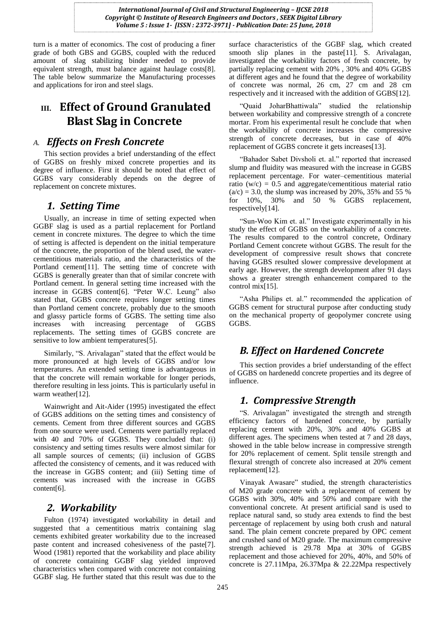turn is a matter of economics. The cost of producing a finer grade of both GBS and GGBS, coupled with the reduced amount of slag stabilizing binder needed to provide equivalent strength, must balance against haulage costs[8]. The table below summarize the Manufacturing processes and applications for iron and steel slags.

## **III. Effect of Ground Granulated Blast Slag in Concrete**

#### *A. Effects on Fresh Concrete*

This section provides a brief understanding of the effect of GGBS on freshly mixed concrete properties and its degree of influence. First it should be noted that effect of GGBS vary considerably depends on the degree of replacement on concrete mixtures.

## *1. Setting Time*

Usually, an increase in time of setting expected when GGBF slag is used as a partial replacement for Portland cement in concrete mixtures. The degree to which the time of setting is affected is dependent on the initial temperature of the concrete, the proportion of the blend used, the watercementitious materials ratio, and the characteristics of the Portland cement[11]. The setting time of concrete with GGBS is generally greater than that of similar concrete with Portland cement. In general setting time increased with the increase in GGBS content[6]. "Peter W.C. Leung" also stated that, GGBS concrete requires longer setting times than Portland cement concrete, probably due to the smooth and glassy particle forms of GGBS. The setting time also increases with increasing percentage of GGBS replacements. The setting times of GGBS concrete are sensitive to low ambient temperatures[5].

Similarly, "S. Arivalagan" stated that the effect would be more pronounced at high levels of GGBS and/or low temperatures. An extended setting time is advantageous in that the concrete will remain workable for longer periods, therefore resulting in less joints. This is particularly useful in warm weather[12].

Wainwright and Ait-Aider (1995) investigated the effect of GGBS additions on the setting times and consistency of cements. Cement from three different sources and GGBS from one source were used. Cements were partially replaced with 40 and 70% of GGBS. They concluded that: (i) consistency and setting times results were almost similar for all sample sources of cements; (ii) inclusion of GGBS affected the consistency of cements, and it was reduced with the increase in GGBS content; and (iii) Setting time of cements was increased with the increase in GGBS content[6].

#### *2. Workability*

Fulton (1974) investigated workability in detail and suggested that a cementitious matrix containing slag cements exhibited greater workability due to the increased paste content and increased cohesiveness of the paste[7]. Wood (1981) reported that the workability and place ability of concrete containing GGBF slag yielded improved characteristics when compared with concrete not containing GGBF slag. He further stated that this result was due to the

surface characteristics of the GGBF slag, which created smooth slip planes in the paste<sup>[11]</sup>. S. Arivalagan, investigated the workability factors of fresh concrete, by partially replacing cement with 20% , 30% and 40% GGBS at different ages and he found that the degree of workability of concrete was normal, 26 cm, 27 cm and 28 cm respectively and it increased with the addition of GGBS[12].

"Quaid JoharBhattiwala" studied the relationship between workability and compressive strength of a concrete mortar. From his experimental result he conclude that when the workability of concrete increases the compressive strength of concrete decreases, but in case of 40% replacement of GGBS concrete it gets increases[13].

"Bahador Sabet Divsholi et. al." reported that increased slump and fluidity was measured with the increase in GGBS replacement percentage. For water–cementitious material ratio ( $w/c$ ) = 0.5 and aggregate/cementitious material ratio  $(a/c) = 3.0$ , the slump was increased by 20%, 35% and 55 % for 10%, 30% and 50 % GGBS replacement, respectively[14].

"Sun-Woo Kim et. al." Investigate experimentally in his study the effect of GGBS on the workability of a concrete. The results compared to the control concrete, Ordinary Portland Cement concrete without GGBS. The result for the development of compressive result shows that concrete having GGBS resulted slower compressive development at early age. However, the strength development after 91 days shows a greater strength enhancement compared to the control mix[15].

"Asha Philips et. al." recommended the application of GGBS cement for structural purpose after conducting study on the mechanical property of geopolymer concrete using GGBS.

## *B. Effect on Hardened Concrete*

This section provides a brief understanding of the effect of GGBS on hardenedd concrete properties and its degree of influence.

## *1. Compressive Strength*

"S. Arivalagan" investigated the strength and strength efficiency factors of hardened concrete, by partially replacing cement with 20%, 30% and 40% GGBS at different ages. The specimens when tested at 7 and 28 days, showed in the table below increase in compressive strength for 20% replacement of cement. Split tensile strength and flexural strength of concrete also increased at 20% cement replacement[12].

Vinayak Awasare" studied, the strength characteristics of M20 grade concrete with a replacement of cement by GGBS with 30%, 40% and 50% and compare with the conventional concrete. At present artificial sand is used to replace natural sand, so study area extends to find the best percentage of replacement by using both crush and natural sand. The plain cement concrete prepared by OPC cement and crushed sand of M20 grade. The maximum compressive strength achieved is 29.78 Mpa at 30% of GGBS replacement and those achieved for 20%, 40%, and 50% of concrete is 27.11Mpa, 26.37Mpa & 22.22Mpa respectively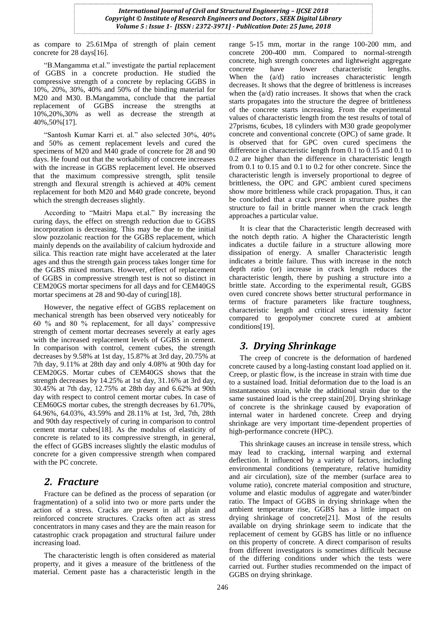as compare to 25.61Mpa of strength of plain cement concrete for 28 days[16].

"B.Mangamma et.al." investigate the partial replacement of GGBS in a concrete production. He studied the compressive strength of a concrete by replacing GGBS in 10%, 20%, 30%, 40% and 50% of the binding material for M20 and M30. B.Mangamma, conclude that the partial replacement of GGBS increase the strengths at 10%,20%,30% as well as decrease the strength at 40%,50%[17].

"Santosh Kumar Karri et. al." also selected 30%, 40% and 50% as cement replacement levels and cured the specimens of M20 and M40 grade of concrete for 28 and 90 days. He found out that the workability of concrete increases with the increase in GGBS replacement level. He observed that the maximum compressive strength, split tensile strength and flexural strength is achieved at 40% cement replacement for both M20 and M40 grade concrete, beyond which the strength decreases slightly.

According to "Maitri Mapa et.al." By increasing the curing days, the effect on strength reduction due to GGBS incorporation is decreasing. This may be due to the initial slow pozzolanic reaction for the GGBS replacement, which mainly depends on the availability of calcium hydroxide and silica. This reaction rate might have accelerated at the later ages and thus the strength gain process takes longer time for the GGBS mixed mortars. However, effect of replacement of GGBS in compressive strength test is not so distinct in CEM20GS mortar specimens for all days and for CEM40GS mortar specimens at 28 and 90-day of curing[18].

However, the negative effect of GGBS replacement on mechanical strength has been observed very noticeably for 60 % and 80 % replacement, for all days' compressive strength of cement mortar decreases severely at early ages with the increased replacement levels of GGBS in cement. In comparison with control, cement cubes, the strength decreases by 9.58% at 1st day, 15.87% at 3rd day, 20.75% at 7th day, 9.11% at 28th day and only 4.08% at 90th day for CEM20GS. Mortar cubes of CEM40GS shows that the strength decreases by 14.25% at 1st day, 31.16% at 3rd day, 30.45% at 7th day, 12.75% at 28th day and 6.62% at 90th day with respect to control cement mortar cubes. In case of CEM60GS mortar cubes, the strength decreases by 61.70%, 64.96%, 64.03%, 43.59% and 28.11% at 1st, 3rd, 7th, 28th and 90th day respectively of curing in comparison to control cement mortar cubes[18]. As the modulus of elasticity of concrete is related to its compressive strength, in general, the effect of GGBS increases slightly the elastic modulus of concrete for a given compressive strength when compared with the PC concrete.

#### *2. Fracture*

Fracture can be defined as the process of separation (or fragmentation) of a solid into two or more parts under the action of a stress. Cracks are present in all plain and reinforced concrete structures. Cracks often act as stress concentrators in many cases and they are the main reason for catastrophic crack propagation and structural failure under increasing load.

The characteristic length is often considered as material property, and it gives a measure of the brittleness of the material. Cement paste has a characteristic length in the range 5-15 mm, mortar in the range 100-200 mm, and concrete 200-400 mm. Compared to normal-strength concrete, high strength concretes and lightweight aggregate concrete have lower characteristic lengths. When the  $(a/d)$  ratio increases characteristic length decreases. It shows that the degree of brittleness is increases when the (a/d) ratio increases. It shows that when the crack starts propagates into the structure the degree of brittleness of the concrete starts increasing. From the experimental values of characteristic length from the test results of total of 27prisms, 6cubes, 18 cylinders with M30 grade geopolymer concrete and conventional concrete (OPC) of same grade. It is observed that for GPC oven cured specimens the difference in characteristic length from 0.1 to 0.15 and 0.1 to 0.2 are higher than the difference in characteristic length from 0.1 to 0.15 and 0.1 to 0.2 for other concrete. Since the characteristic length is inversely proportional to degree of brittleness, the OPC and GPC ambient cured specimens show more brittleness while crack propagation. Thus, it can be concluded that a crack present in structure pushes the structure to fail in brittle manner when the crack length approaches a particular value.

It is clear that the Characteristic length decreased with the notch depth ratio. A higher the Characteristic length indicates a ductile failure in a structure allowing more dissipation of energy. A smaller Characteristic length indicates a brittle failure. Thus with increase in the notch depth ratio (or) increase in crack length reduces the characteristic length, there by pushing a structure into a brittle state. According to the experimental result, GGBS oven cured concrete shows better structural performance in terms of fracture parameters like fracture toughness, characteristic length and critical stress intensity factor compared to geopolymer concrete cured at ambient conditions[19].

#### *3. Drying Shrinkage*

The creep of concrete is the deformation of hardened concrete caused by a long-lasting constant load applied on it. Creep, or plastic flow, is the increase in strain with time due to a sustained load. Initial deformation due to the load is an instantaneous strain, while the additional strain due to the same sustained load is the creep stain[20]. Drying shrinkage of concrete is the shrinkage caused by evaporation of internal water in hardened concrete. Creep and drying shrinkage are very important time-dependent properties of high-performance concrete (HPC).

This shrinkage causes an increase in tensile stress, which may lead to cracking, internal warping and external deflection. It influenced by a variety of factors, including environmental conditions (temperature, relative humidity and air circulation), size of the member (surface area to volume ratio), concrete material composition and structure, volume and elastic modulus of aggregate and water/binder ratio. The Impact of GGBS in drying shrinkage when the ambient temperature rise, GGBS has a little impact on drying shrinkage of concrete[21]. Most of the results available on drying shrinkage seem to indicate that the replacement of cement by GGBS has little or no influence on this property of concrete. A direct comparison of results from different investigators is sometimes difficult because of the differing conditions under which the tests were carried out. Further studies recommended on the impact of GGBS on drying shrinkage.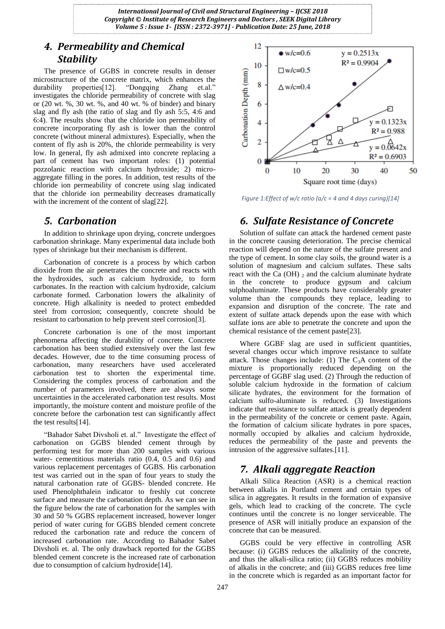#### *4. Permeability and Chemical Stability*

The presence of GGBS in concrete results in denser microstructure of the concrete matrix, which enhances the durability properties[12]. "Dongqing Zhang et.al." investigates the chloride permeability of concrete with slag or  $(20 \text{ wt. } %, 30 \text{ wt. } %)$ , and  $40 \text{ wt. } %$  of binder) and binary slag and fly ash (the ratio of slag and fly ash 5:5, 4:6 and 6:4). The results show that the chloride ion permeability of concrete incorporating fly ash is lower than the control concrete (without mineral admixtures). Especially, when the content of fly ash is 20%, the chloride permeability is very low. In general, fly ash admixed into concrete replacing a part of cement has two important roles: (1) potential pozzolanic reaction with calcium hydroxide; 2) microaggregate filling in the pores. In addition, test results of the chloride ion permeability of concrete using slag indicated that the chloride ion permeability decreases dramatically with the increment of the content of slag[22].

#### *5. Carbonation*

In addition to shrinkage upon drying, concrete undergoes carbonation shrinkage. Many experimental data include both types of shrinkage but their mechanism is different.

Carbonation of concrete is a process by which carbon dioxide from the air penetrates the concrete and reacts with the hydroxides, such as calcium hydroxide, to form carbonates. In the reaction with calcium hydroxide, calcium carbonate formed. Carbonation lowers the alkalinity of concrete. High alkalinity is needed to protect embedded steel from corrosion; consequently, concrete should be resistant to carbonation to help prevent steel corrosion[3].

Concrete carbonation is one of the most important phenomena affecting the durability of concrete. Concrete carbonation has been studied extensively over the last few decades. However, due to the time consuming process of carbonation, many researchers have used accelerated carbonation test to shorten the experimental time. Considering the complex process of carbonation and the number of parameters involved, there are always some uncertainties in the accelerated carbonation test results. Most importantly, the moisture content and moisture profile of the concrete before the carbonation test can significantly affect the test results[14].

"Bahador Sabet Divsholi et. al." Investigate the effect of carbonation on GGBS blended cement through by performing test for more than 200 samples with various water- cementitious materials ratio (0.4, 0.5 and 0.6) and various replacement percentages of GGBS. His carbonation test was carried out in the span of four years to study the natural carbonation rate of GGBS- blended concrete. He used Phenolphthalein indicator to freshly cut concrete surface and measure the carbonation depth. As we can see in the figure below the rate of carbonation for the samples with 30 and 50 % GGBS replacement increased, however longer period of water curing for GGBS blended cement concrete reduced the carbonation rate and reduce the concern of increased carbonation rate. According to Bahador Sabet Divsholi et. al. The only drawback reported for the GGBS blended cement concrete is the increased rate of carbonation due to consumption of calcium hydroxide[14].



*Figure 1:Effect of w/c ratio (a/c = 4 and 4 days curing)[14]*

#### *6. Sulfate Resistance of Concrete*

Solution of sulfate can attack the hardened cement paste in the concrete causing deterioration. The precise chemical reaction will depend on the nature of the sulfate present and the type of cement. In some clay soils, the ground water is a solution of magnesium and calcium sulfates. These salts react with the Ca (OH)  $_2$  and the calcium aluminate hydrate in the concrete to produce gypsum and calcium sulphoaluminate. These products have considerably greater volume than the compounds they replace, leading to expansion and disruption of the concrete. The rate and extent of sulfate attack depends upon the ease with which sulfate ions are able to penetrate the concrete and upon the chemical resistance of the cement paste[23].

Where GGBF slag are used in sufficient quantities, several changes occur which improve resistance to sulfate attack. Those changes include: (1) The  $C_3A$  content of the mixture is proportionally reduced depending on the percentage of GGBF slag used. (2) Through the reduction of soluble calcium hydroxide in the formation of calcium silicate hydrates, the environment for the formation of calcium sulfo-aluminate is reduced. (3) Investigations indicate that resistance to sulfate attack is greatly dependent in the permeability of the concrete or cement paste. Again, the formation of calcium silicate hydrates in pore spaces, normally occupied by alkalies and calcium hydroxide, reduces the permeability of the paste and prevents the intrusion of the aggressive sulfates.[11].

#### *7. Alkali aggregate Reaction*

Alkali Silica Reaction (ASR) is a chemical reaction between alkalis in Portland cement and certain types of silica in aggregates. It results in the formation of expansive gels, which lead to cracking of the concrete. The cycle continues until the concrete is no longer serviceable. The presence of ASR will initially produce an expansion of the concrete that can be measured.

GGBS could be very effective in controlling ASR because: (i) GGBS reduces the alkalinity of the concrete, and thus the alkali-silica ratio; (ii) GGBS reduces mobility of alkalis in the concrete; and (iii) GGBS reduces free lime in the concrete which is regarded as an important factor for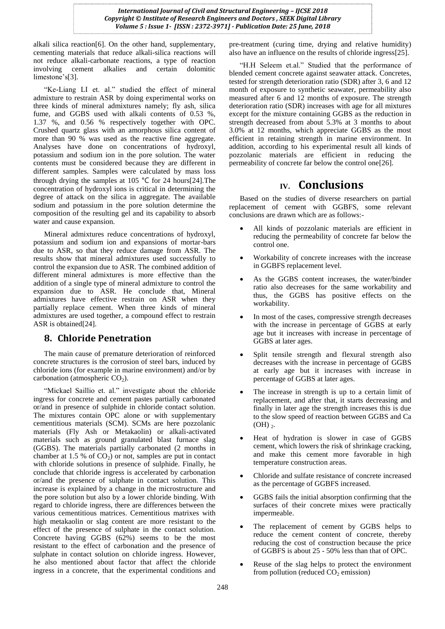alkali silica reaction[6]. On the other hand, supplementary, cementing materials that reduce alkali-silica reactions will not reduce alkali-carbonate reactions, a type of reaction involving cement alkalies and certain dolomitic limestone's[3].

"Ke-Liang LI et. al." studied the effect of mineral admixture to restrain ASR by doing experimental works on three kinds of mineral admixtures namely; fly ash, silica fume, and GGBS used with alkali contents of 0.53 %, 1.37 %, and 0.56 % respectively together with OPC. Crushed quartz glass with an amorphous silica content of more than 90 % was used as the reactive fine aggregate. Analyses have done on concentrations of hydroxyl, potassium and sodium ion in the pore solution. The water contents must be considered because they are different in different samples. Samples were calculated by mass loss through drying the samples at 105 ℃ for 24 hours[24].The concentration of hydroxyl ions is critical in determining the degree of attack on the silica in aggregate. The available sodium and potassium in the pore solution determine the composition of the resulting gel and its capability to absorb water and cause expansion.

Mineral admixtures reduce concentrations of hydroxyl, potassium and sodium ion and expansions of mortar-bars due to ASR, so that they reduce damage from ASR. The results show that mineral admixtures used successfully to control the expansion due to ASR. The combined addition of different mineral admixtures is more effective than the addition of a single type of mineral admixture to control the expansion due to ASR. He conclude that, Mineral admixtures have effective restrain on ASR when they partially replace cement. When three kinds of mineral admixtures are used together, a compound effect to restrain ASR is obtained[24].

#### **8. Chloride Penetration**

The main cause of premature deterioration of reinforced concrete structures is the corrosion of steel bars, induced by chloride ions (for example in marine environment) and/or by carbonation (atmospheric  $CO<sub>2</sub>$ ).

"Mickael Saillio et. al." investigate about the chloride ingress for concrete and cement pastes partially carbonated or/and in presence of sulphide in chloride contact solution. The mixtures contain OPC alone or with supplementary cementitious materials (SCM). SCMs are here pozzolanic materials (Fly Ash or Metakaolin) or alkali-activated materials such as ground granulated blast furnace slag (GGBS). The materials partially carbonated (2 months in chamber at 1.5 % of  $CO<sub>2</sub>$ ) or not, samples are put in contact with chloride solutions in presence of sulphide. Finally, he conclude that chloride ingress is accelerated by carbonation or/and the presence of sulphate in contact solution. This increase is explained by a change in the microstructure and the pore solution but also by a lower chloride binding. With regard to chloride ingress, there are differences between the various cementitious matrices. Cementitious matrixes with high metakaolin or slag content are more resistant to the effect of the presence of sulphate in the contact solution. Concrete having GGBS (62%) seems to be the most resistant to the effect of carbonation and the presence of sulphate in contact solution on chloride ingress. However, he also mentioned about factor that affect the chloride ingress in a concrete, that the experimental conditions and

pre-treatment (curing time, drying and relative humidity) also have an influence on the results of chloride ingress[25].

"H.H Seleem et.al." Studied that the performance of blended cement concrete against seawater attack. Concretes, tested for strength deterioration ratio (SDR) after 3, 6 and 12 month of exposure to synthetic seawater, permeability also measured after 6 and 12 months of exposure. The strength deterioration ratio (SDR) increases with age for all mixtures except for the mixture containing GGBS as the reduction in strength decreased from about 5.3% at 3 months to about 3.0% at 12 months, which appreciate GGBS as the most efficient in retaining strength in marine environment. In addition, according to his experimental result all kinds of pozzolanic materials are efficient in reducing the permeability of concrete far below the control one[26].

#### **IV. Conclusions**

Based on the studies of diverse researchers on partial replacement of cement with GGBFS, some relevant conclusions are drawn which are as follows:-

- All kinds of pozzolanic materials are efficient in reducing the permeability of concrete far below the control one.
- Workability of concrete increases with the increase in GGBFS replacement level.
- As the GGBS content increases, the water/binder ratio also decreases for the same workability and thus, the GGBS has positive effects on the workability.
- In most of the cases, compressive strength decreases with the increase in percentage of GGBS at early age but it increases with increase in percentage of GGBS at later ages.
- Split tensile strength and flexural strength also decreases with the increase in percentage of GGBS at early age but it increases with increase in percentage of GGBS at later ages.
- The increase in strength is up to a certain limit of replacement, and after that, it starts decreasing and finally in later age the strength increases this is due to the slow speed of reaction between GGBS and Ca  $(OH)$ <sub>2</sub>.
- Heat of hydration is slower in case of GGBS cement, which lowers the risk of shrinkage cracking, and make this cement more favorable in high temperature construction areas.
- Chloride and sulfate resistance of concrete increased as the percentage of GGBFS increased.
- GGBS fails the initial absorption confirming that the surfaces of their concrete mixes were practically impermeable.
- The replacement of cement by GGBS helps to reduce the cement content of concrete, thereby reducing the cost of construction because the price of GGBFS is about 25 - 50% less than that of OPC.
- Reuse of the slag helps to protect the environment from pollution (reduced  $CO<sub>2</sub>$  emission)